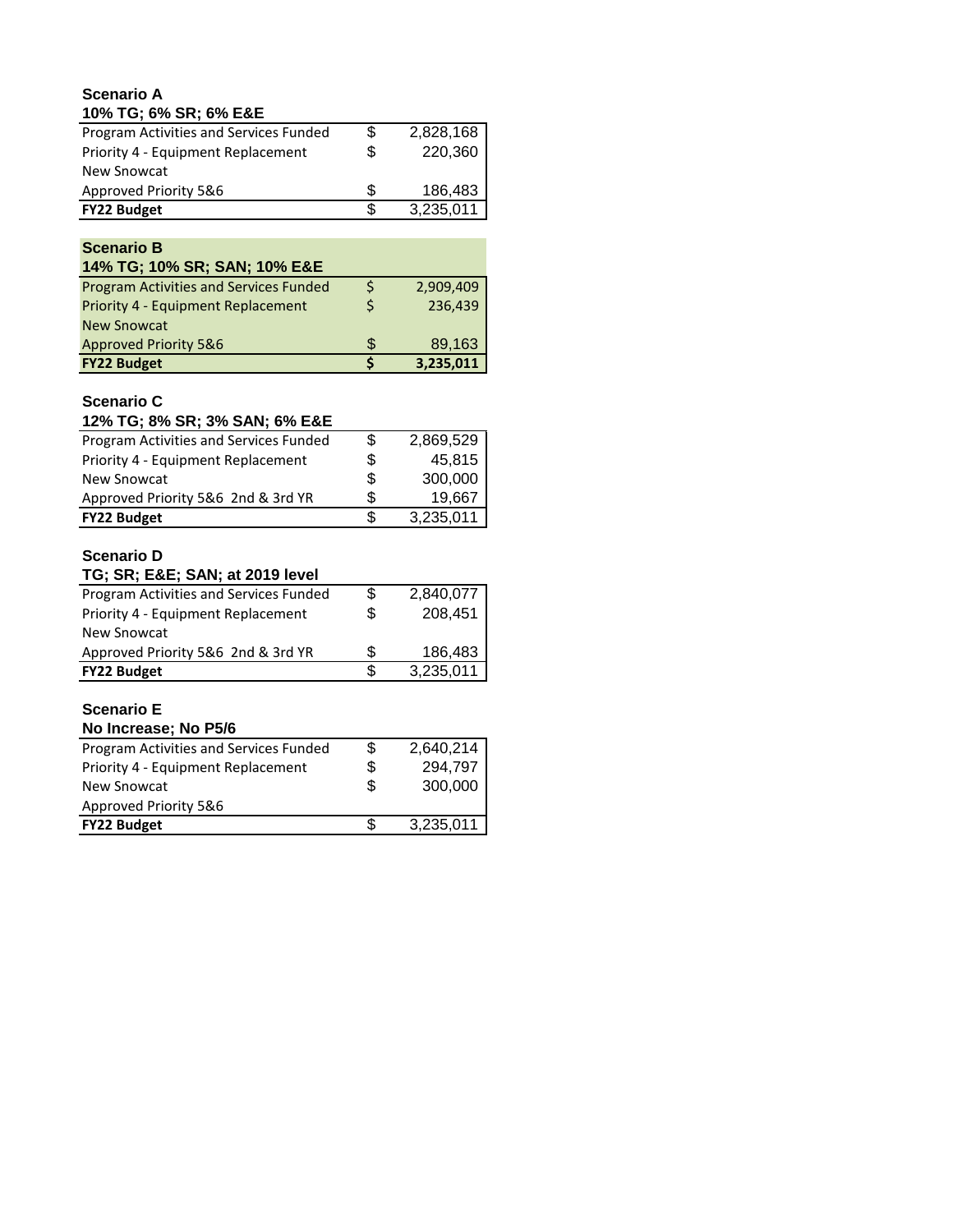### **Scenario A 10% TG; 6% SR; 6% E&E**

| Program Activities and Services Funded | \$ | 2,828,168 |
|----------------------------------------|----|-----------|
| Priority 4 - Equipment Replacement     | \$ | 220,360   |
| New Snowcat                            |    |           |
| Approved Priority 5&6                  | S  | 186,483   |
| <b>FY22 Budget</b>                     |    | 3,235,011 |

### **Scenario B**

| 14% TG; 10% SR; SAN; 10% E&E                  |   |           |
|-----------------------------------------------|---|-----------|
| <b>Program Activities and Services Funded</b> |   | 2,909,409 |
| Priority 4 - Equipment Replacement            |   | 236,439   |
| <b>New Snowcat</b>                            |   |           |
| <b>Approved Priority 5&amp;6</b>              | S | 89,163    |
| <b>FY22 Budget</b>                            |   | 3,235,011 |

# **Scenario C**

| 12% TG; 8% SR; 3% SAN; 6% E&E          |    |           |
|----------------------------------------|----|-----------|
| Program Activities and Services Funded | S  | 2,869,529 |
| Priority 4 - Equipment Replacement     | \$ | 45,815    |
| <b>New Snowcat</b>                     | S  | 300,000   |
| Approved Priority 5&6 2nd & 3rd YR     | S. | 19,667    |
| <b>FY22 Budget</b>                     |    | 3,235,011 |

## **Scenario D**

| TG; SR; E&E SAN; at 2019 level         |     |           |
|----------------------------------------|-----|-----------|
| Program Activities and Services Funded | \$. | 2,840,077 |
| Priority 4 - Equipment Replacement     | \$  | 208,451   |
| <b>New Snowcat</b>                     |     |           |
| Approved Priority 5&6 2nd & 3rd YR     | \$. | 186.483   |
| <b>FY22 Budget</b>                     | ß.  | 3,235,011 |

# **Scenario E**

| No Increase; No P5/6                   |    |           |
|----------------------------------------|----|-----------|
| Program Activities and Services Funded | \$ | 2,640,214 |
| Priority 4 - Equipment Replacement     | \$ | 294,797   |
| New Snowcat                            | \$ | 300,000   |
| Approved Priority 5&6                  |    |           |
| <b>FY22 Budget</b>                     | S  | 3,235,011 |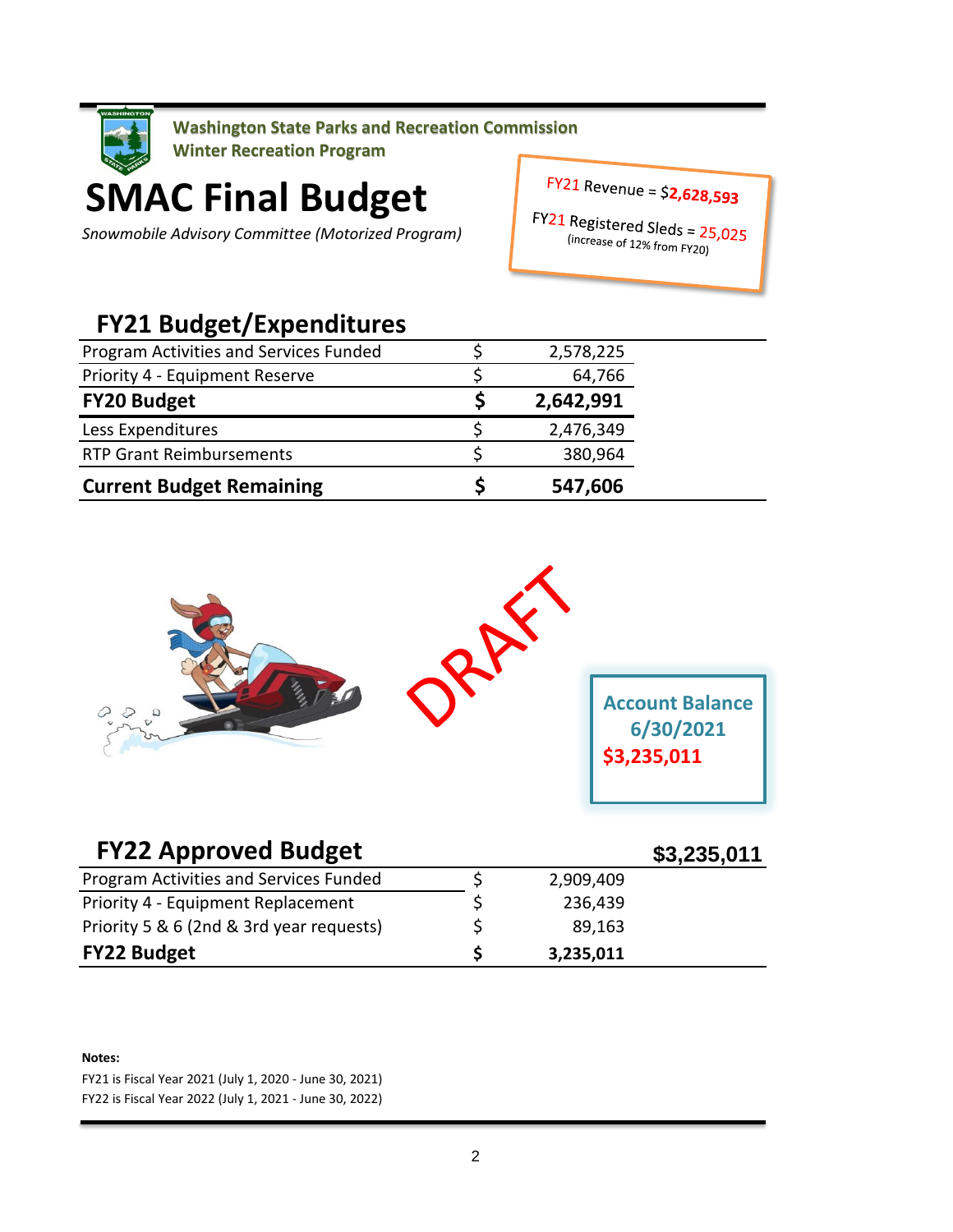

**SMAC Final Budget**

*Snowmobile Advisory Committee (Motorized Program)*

 $FY21$  Revenue = \$2,628,593

FY21 Registered Sleds =  $25,025$ <br>(increase of 12% from Fig. c) The Signal Step Since  $\frac{12\% \text{ from } FY20}{2}$ 

# **FY21 Budget/Expenditures**

| Program Activities and Services Funded | 2,578,225 |
|----------------------------------------|-----------|
| Priority 4 - Equipment Reserve         | 64,766    |
| <b>FY20 Budget</b>                     | 2,642,991 |
| Less Expenditures                      | 2,476,349 |
| <b>RTP Grant Reimbursements</b>        | 380,964   |
| <b>Current Budget Remaining</b>        | 547,606   |



| <b>FY22 Approved Budget</b>              |           | \$3,235,011 |
|------------------------------------------|-----------|-------------|
| Program Activities and Services Funded   | 2,909,409 |             |
| Priority 4 - Equipment Replacement       | 236,439   |             |
| Priority 5 & 6 (2nd & 3rd year requests) | 89,163    |             |
| <b>FY22 Budget</b>                       | 3,235,011 |             |

#### **Notes:**

FY21 is Fiscal Year 2021 (July 1, 2020 - June 30, 2021) FY22 is Fiscal Year 2022 (July 1, 2021 - June 30, 2022)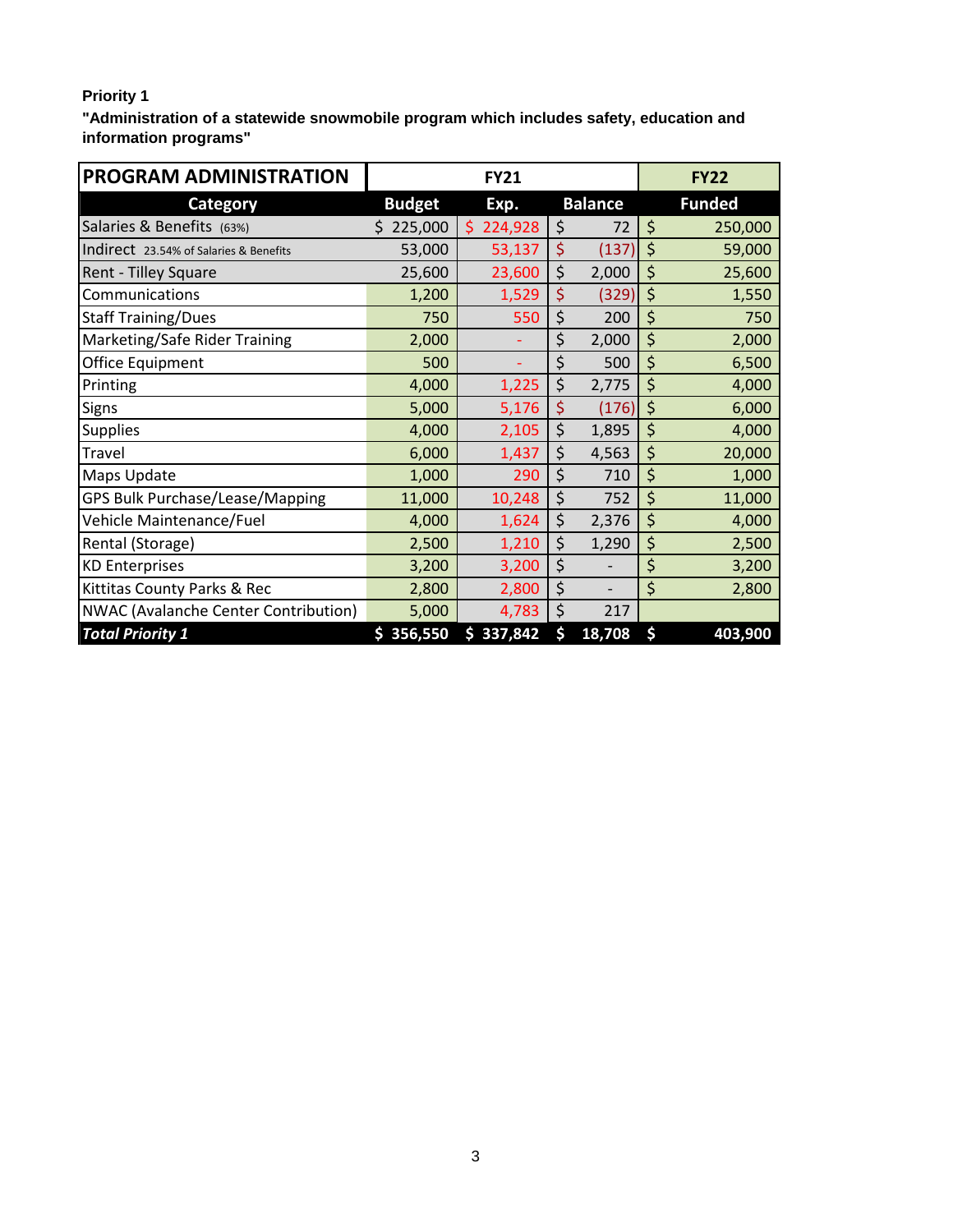# **Priority 1**

**"Administration of a statewide snowmobile program which includes safety, education and information programs"**

| PROGRAM ADMINISTRATION                 |               | <b>FY21</b>   |                | <b>FY22</b>   |
|----------------------------------------|---------------|---------------|----------------|---------------|
| <b>Category</b>                        | <b>Budget</b> | Exp.          | <b>Balance</b> | <b>Funded</b> |
| Salaries & Benefits (63%)              | \$225,000     | \$<br>224,928 | \$<br>72       | \$<br>250,000 |
| Indirect 23.54% of Salaries & Benefits | 53,000        | 53,137        | \$<br>(137)    | \$<br>59,000  |
| Rent - Tilley Square                   | 25,600        | 23,600        | \$<br>2,000    | \$<br>25,600  |
| Communications                         | 1,200         | 1,529         | \$<br>(329)    | \$<br>1,550   |
| <b>Staff Training/Dues</b>             | 750           | 550           | \$<br>200      | \$<br>750     |
| Marketing/Safe Rider Training          | 2,000         |               | \$<br>2,000    | \$<br>2,000   |
| Office Equipment                       | 500           |               | \$<br>500      | \$<br>6,500   |
| Printing                               | 4,000         | 1,225         | \$<br>2,775    | \$<br>4,000   |
| <b>Signs</b>                           | 5,000         | 5,176         | \$<br>(176)    | \$<br>6,000   |
| <b>Supplies</b>                        | 4,000         | 2,105         | \$<br>1,895    | \$<br>4,000   |
| Travel                                 | 6,000         | 1,437         | \$<br>4,563    | \$<br>20,000  |
| Maps Update                            | 1,000         | 290           | \$<br>710      | \$<br>1,000   |
| GPS Bulk Purchase/Lease/Mapping        | 11,000        | 10,248        | \$<br>752      | \$<br>11,000  |
| Vehicle Maintenance/Fuel               | 4,000         | 1,624         | \$<br>2,376    | \$<br>4,000   |
| Rental (Storage)                       | 2,500         | 1,210         | \$<br>1,290    | \$<br>2,500   |
| <b>KD Enterprises</b>                  | 3,200         | 3,200         | \$             | \$<br>3,200   |
| Kittitas County Parks & Rec            | 2,800         | 2,800         | \$             | \$<br>2,800   |
| NWAC (Avalanche Center Contribution)   | 5,000         | 4,783         | \$<br>217      |               |
| <b>Total Priority 1</b>                | \$356,550     | 337,842<br>\$ | \$<br>18,708   | \$<br>403,900 |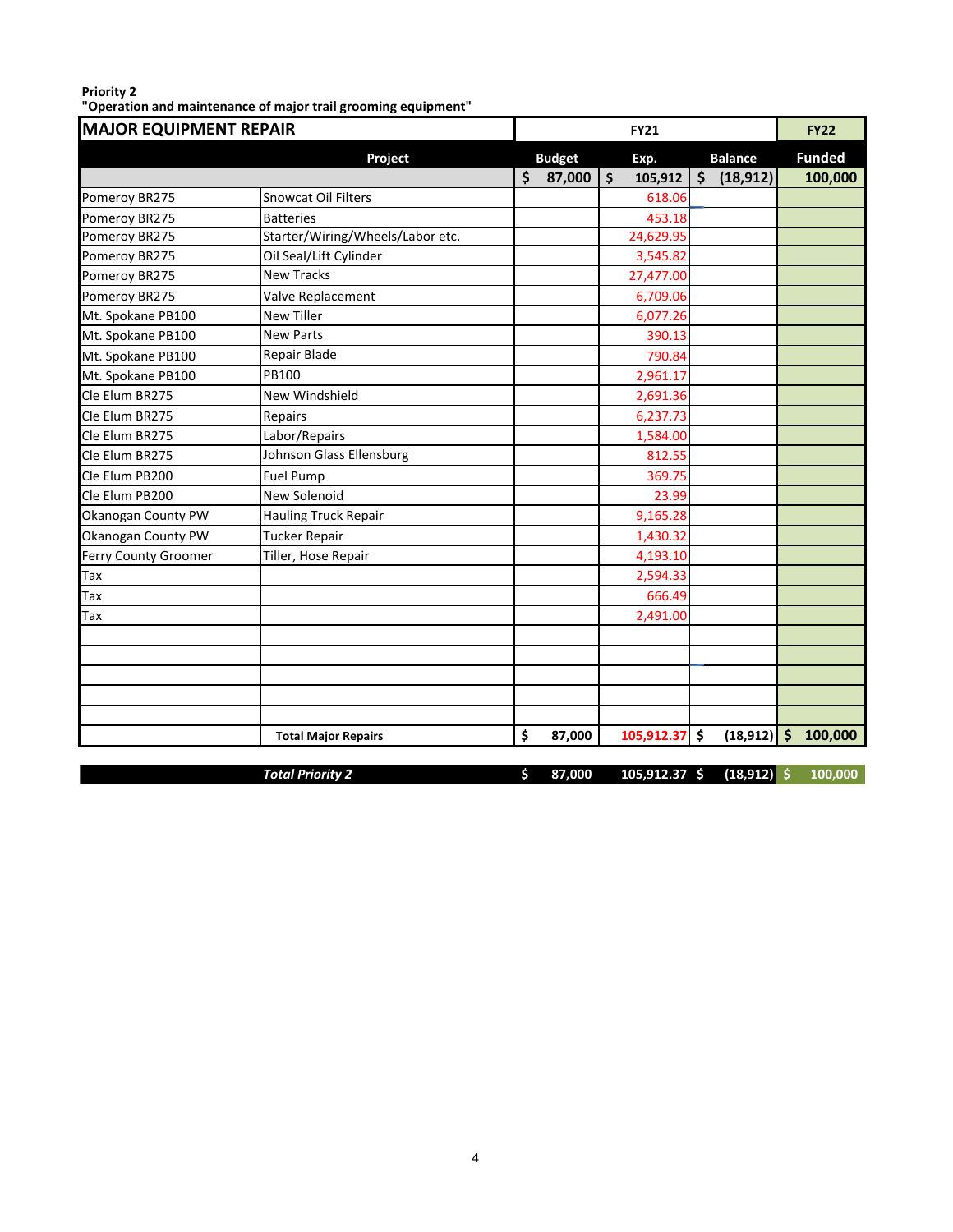### **Priority 2 "Operation and maintenance of major trail grooming equipment"**

| <b>Funded</b><br><b>Balance</b><br>Project<br><b>Budget</b><br>Exp.<br>\$<br>$\overline{\boldsymbol{\zeta}}$<br>\$<br>(18, 912)<br>87,000<br>100,000<br>105,912<br>Snowcat Oil Filters<br>618.06<br>Pomeroy BR275<br>453.18<br>Pomeroy BR275<br><b>Batteries</b><br>Starter/Wiring/Wheels/Labor etc.<br>24,629.95<br>Pomeroy BR275<br>Oil Seal/Lift Cylinder<br>Pomeroy BR275<br>3,545.82<br><b>New Tracks</b><br>Pomeroy BR275<br>27,477.00<br>Pomeroy BR275<br>6,709.06<br>Valve Replacement<br>Mt. Spokane PB100<br><b>New Tiller</b><br>6,077.26<br><b>New Parts</b><br>Mt. Spokane PB100<br>390.13<br>Repair Blade<br>Mt. Spokane PB100<br>790.84<br>PB100<br>Mt. Spokane PB100<br>2,961.17<br>Cle Elum BR275<br>New Windshield<br>2,691.36<br>6,237.73<br>Repairs<br>Labor/Repairs<br>1,584.00<br>Johnson Glass Ellensburg<br>Cle Elum BR275<br>812.55<br>Cle Elum PB200<br>369.75<br><b>Fuel Pump</b><br>Cle Elum PB200<br>New Solenoid<br>23.99<br>9,165.28<br>Okanogan County PW<br><b>Hauling Truck Repair</b><br>Okanogan County PW<br>Tucker Repair<br>1,430.32<br>Ferry County Groomer<br>Tiller, Hose Repair<br>4,193.10<br>Tax<br>2,594.33<br>666.49<br>Tax<br>2,491.00<br>Tax<br>\$<br>$(18, 912)$ \$<br>100,000<br>105,912.37<br>\$<br>87,000<br><b>Total Major Repairs</b><br>$105,912.37$ \$<br>$(18, 912)$ \$<br><b>Total Priority 2</b><br>\$<br>87,000<br>100,000 | <b>MAJOR EQUIPMENT REPAIR</b> |  | <b>FY21</b> |  | <b>FY22</b> |
|-----------------------------------------------------------------------------------------------------------------------------------------------------------------------------------------------------------------------------------------------------------------------------------------------------------------------------------------------------------------------------------------------------------------------------------------------------------------------------------------------------------------------------------------------------------------------------------------------------------------------------------------------------------------------------------------------------------------------------------------------------------------------------------------------------------------------------------------------------------------------------------------------------------------------------------------------------------------------------------------------------------------------------------------------------------------------------------------------------------------------------------------------------------------------------------------------------------------------------------------------------------------------------------------------------------------------------------------------------------------------------------------|-------------------------------|--|-------------|--|-------------|
|                                                                                                                                                                                                                                                                                                                                                                                                                                                                                                                                                                                                                                                                                                                                                                                                                                                                                                                                                                                                                                                                                                                                                                                                                                                                                                                                                                                         |                               |  |             |  |             |
|                                                                                                                                                                                                                                                                                                                                                                                                                                                                                                                                                                                                                                                                                                                                                                                                                                                                                                                                                                                                                                                                                                                                                                                                                                                                                                                                                                                         |                               |  |             |  |             |
|                                                                                                                                                                                                                                                                                                                                                                                                                                                                                                                                                                                                                                                                                                                                                                                                                                                                                                                                                                                                                                                                                                                                                                                                                                                                                                                                                                                         |                               |  |             |  |             |
|                                                                                                                                                                                                                                                                                                                                                                                                                                                                                                                                                                                                                                                                                                                                                                                                                                                                                                                                                                                                                                                                                                                                                                                                                                                                                                                                                                                         |                               |  |             |  |             |
|                                                                                                                                                                                                                                                                                                                                                                                                                                                                                                                                                                                                                                                                                                                                                                                                                                                                                                                                                                                                                                                                                                                                                                                                                                                                                                                                                                                         |                               |  |             |  |             |
|                                                                                                                                                                                                                                                                                                                                                                                                                                                                                                                                                                                                                                                                                                                                                                                                                                                                                                                                                                                                                                                                                                                                                                                                                                                                                                                                                                                         |                               |  |             |  |             |
|                                                                                                                                                                                                                                                                                                                                                                                                                                                                                                                                                                                                                                                                                                                                                                                                                                                                                                                                                                                                                                                                                                                                                                                                                                                                                                                                                                                         |                               |  |             |  |             |
|                                                                                                                                                                                                                                                                                                                                                                                                                                                                                                                                                                                                                                                                                                                                                                                                                                                                                                                                                                                                                                                                                                                                                                                                                                                                                                                                                                                         |                               |  |             |  |             |
|                                                                                                                                                                                                                                                                                                                                                                                                                                                                                                                                                                                                                                                                                                                                                                                                                                                                                                                                                                                                                                                                                                                                                                                                                                                                                                                                                                                         |                               |  |             |  |             |
|                                                                                                                                                                                                                                                                                                                                                                                                                                                                                                                                                                                                                                                                                                                                                                                                                                                                                                                                                                                                                                                                                                                                                                                                                                                                                                                                                                                         |                               |  |             |  |             |
|                                                                                                                                                                                                                                                                                                                                                                                                                                                                                                                                                                                                                                                                                                                                                                                                                                                                                                                                                                                                                                                                                                                                                                                                                                                                                                                                                                                         |                               |  |             |  |             |
|                                                                                                                                                                                                                                                                                                                                                                                                                                                                                                                                                                                                                                                                                                                                                                                                                                                                                                                                                                                                                                                                                                                                                                                                                                                                                                                                                                                         |                               |  |             |  |             |
|                                                                                                                                                                                                                                                                                                                                                                                                                                                                                                                                                                                                                                                                                                                                                                                                                                                                                                                                                                                                                                                                                                                                                                                                                                                                                                                                                                                         |                               |  |             |  |             |
|                                                                                                                                                                                                                                                                                                                                                                                                                                                                                                                                                                                                                                                                                                                                                                                                                                                                                                                                                                                                                                                                                                                                                                                                                                                                                                                                                                                         | Cle Elum BR275                |  |             |  |             |
|                                                                                                                                                                                                                                                                                                                                                                                                                                                                                                                                                                                                                                                                                                                                                                                                                                                                                                                                                                                                                                                                                                                                                                                                                                                                                                                                                                                         | Cle Elum BR275                |  |             |  |             |
|                                                                                                                                                                                                                                                                                                                                                                                                                                                                                                                                                                                                                                                                                                                                                                                                                                                                                                                                                                                                                                                                                                                                                                                                                                                                                                                                                                                         |                               |  |             |  |             |
|                                                                                                                                                                                                                                                                                                                                                                                                                                                                                                                                                                                                                                                                                                                                                                                                                                                                                                                                                                                                                                                                                                                                                                                                                                                                                                                                                                                         |                               |  |             |  |             |
|                                                                                                                                                                                                                                                                                                                                                                                                                                                                                                                                                                                                                                                                                                                                                                                                                                                                                                                                                                                                                                                                                                                                                                                                                                                                                                                                                                                         |                               |  |             |  |             |
|                                                                                                                                                                                                                                                                                                                                                                                                                                                                                                                                                                                                                                                                                                                                                                                                                                                                                                                                                                                                                                                                                                                                                                                                                                                                                                                                                                                         |                               |  |             |  |             |
|                                                                                                                                                                                                                                                                                                                                                                                                                                                                                                                                                                                                                                                                                                                                                                                                                                                                                                                                                                                                                                                                                                                                                                                                                                                                                                                                                                                         |                               |  |             |  |             |
|                                                                                                                                                                                                                                                                                                                                                                                                                                                                                                                                                                                                                                                                                                                                                                                                                                                                                                                                                                                                                                                                                                                                                                                                                                                                                                                                                                                         |                               |  |             |  |             |
|                                                                                                                                                                                                                                                                                                                                                                                                                                                                                                                                                                                                                                                                                                                                                                                                                                                                                                                                                                                                                                                                                                                                                                                                                                                                                                                                                                                         |                               |  |             |  |             |
|                                                                                                                                                                                                                                                                                                                                                                                                                                                                                                                                                                                                                                                                                                                                                                                                                                                                                                                                                                                                                                                                                                                                                                                                                                                                                                                                                                                         |                               |  |             |  |             |
|                                                                                                                                                                                                                                                                                                                                                                                                                                                                                                                                                                                                                                                                                                                                                                                                                                                                                                                                                                                                                                                                                                                                                                                                                                                                                                                                                                                         |                               |  |             |  |             |
|                                                                                                                                                                                                                                                                                                                                                                                                                                                                                                                                                                                                                                                                                                                                                                                                                                                                                                                                                                                                                                                                                                                                                                                                                                                                                                                                                                                         |                               |  |             |  |             |
|                                                                                                                                                                                                                                                                                                                                                                                                                                                                                                                                                                                                                                                                                                                                                                                                                                                                                                                                                                                                                                                                                                                                                                                                                                                                                                                                                                                         |                               |  |             |  |             |
|                                                                                                                                                                                                                                                                                                                                                                                                                                                                                                                                                                                                                                                                                                                                                                                                                                                                                                                                                                                                                                                                                                                                                                                                                                                                                                                                                                                         |                               |  |             |  |             |
|                                                                                                                                                                                                                                                                                                                                                                                                                                                                                                                                                                                                                                                                                                                                                                                                                                                                                                                                                                                                                                                                                                                                                                                                                                                                                                                                                                                         |                               |  |             |  |             |
|                                                                                                                                                                                                                                                                                                                                                                                                                                                                                                                                                                                                                                                                                                                                                                                                                                                                                                                                                                                                                                                                                                                                                                                                                                                                                                                                                                                         |                               |  |             |  |             |
|                                                                                                                                                                                                                                                                                                                                                                                                                                                                                                                                                                                                                                                                                                                                                                                                                                                                                                                                                                                                                                                                                                                                                                                                                                                                                                                                                                                         |                               |  |             |  |             |
|                                                                                                                                                                                                                                                                                                                                                                                                                                                                                                                                                                                                                                                                                                                                                                                                                                                                                                                                                                                                                                                                                                                                                                                                                                                                                                                                                                                         |                               |  |             |  |             |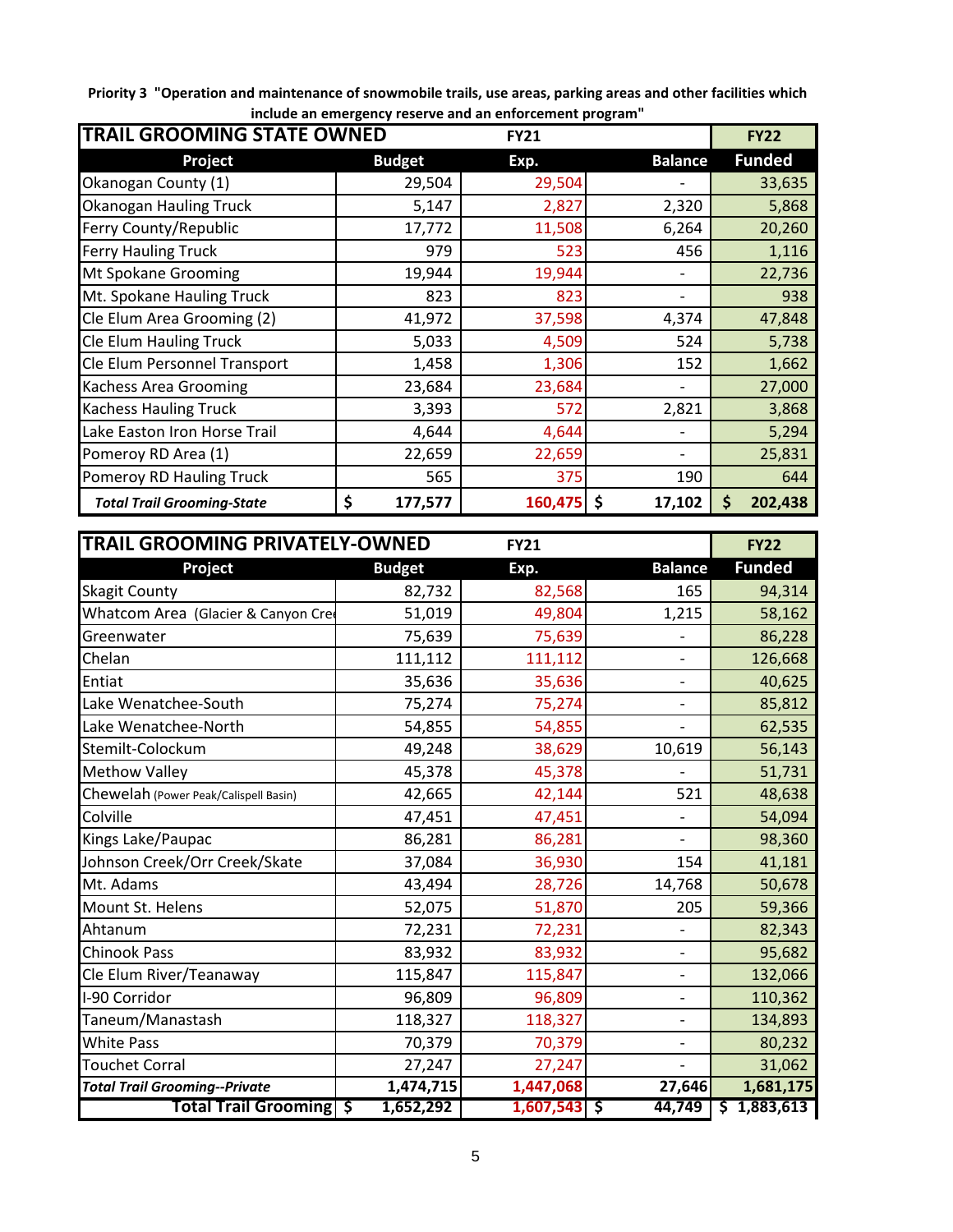**Priority 3 "Operation and maintenance of snowmobile trails, use areas, parking areas and other facilities which include an emergency reserve and an enforcement program"**

| <b>TRAIL GROOMING STATE OWNED</b><br><b>FY21</b> |               |            |                |               |
|--------------------------------------------------|---------------|------------|----------------|---------------|
| Project                                          | <b>Budget</b> | Exp.       | <b>Balance</b> | <b>Funded</b> |
| Okanogan County (1)                              | 29,504        | 29,504     |                | 33,635        |
| Okanogan Hauling Truck                           | 5,147         | 2,827      | 2,320          | 5,868         |
| Ferry County/Republic                            | 17,772        | 11,508     | 6,264          | 20,260        |
| <b>Ferry Hauling Truck</b>                       | 979           | 523        | 456            | 1,116         |
| Mt Spokane Grooming                              | 19,944        | 19,944     |                | 22,736        |
| Mt. Spokane Hauling Truck                        | 823           | 823        |                | 938           |
| Cle Elum Area Grooming (2)                       | 41,972        | 37,598     | 4,374          | 47,848        |
| <b>Cle Elum Hauling Truck</b>                    | 5,033         | 4,509      | 524            | 5,738         |
| Cle Elum Personnel Transport                     | 1,458         | 1,306      | 152            | 1,662         |
| <b>Kachess Area Grooming</b>                     | 23,684        | 23,684     |                | 27,000        |
| <b>Kachess Hauling Truck</b>                     | 3,393         | 572        | 2,821          | 3,868         |
| Lake Easton Iron Horse Trail                     | 4,644         | 4,644      |                | 5,294         |
| Pomeroy RD Area (1)                              | 22,659        | 22,659     |                | 25,831        |
| Pomeroy RD Hauling Truck                         | 565           | 375        | 190            | 644           |
| <b>Total Trail Grooming-State</b>                | \$<br>177,577 | 160,475 \$ | 17,102         | 202,438<br>\$ |

| <b>TRAIL GROOMING PRIVATELY-OWNED</b><br><b>FY21</b> |               |                |                              |               |  |
|------------------------------------------------------|---------------|----------------|------------------------------|---------------|--|
| Project                                              | <b>Budget</b> | Exp.           | <b>Balance</b>               | <b>Funded</b> |  |
| <b>Skagit County</b>                                 | 82,732        | 82,568         | 165                          | 94,314        |  |
| Whatcom Area (Glacier & Canyon Cre                   | 51,019        | 49,804         | 1,215                        | 58,162        |  |
| Greenwater                                           | 75,639        | 75,639         |                              | 86,228        |  |
| Chelan                                               | 111,112       | 111,112        | $\overline{\phantom{a}}$     | 126,668       |  |
| Entiat                                               | 35,636        | 35,636         | $\overline{\phantom{a}}$     | 40,625        |  |
| Lake Wenatchee-South                                 | 75,274        | 75,274         | $\overline{\phantom{a}}$     | 85,812        |  |
| Lake Wenatchee-North                                 | 54,855        | 54,855         |                              | 62,535        |  |
| Stemilt-Colockum                                     | 49,248        | 38,629         | 10,619                       | 56,143        |  |
| <b>Methow Valley</b>                                 | 45,378        | 45,378         |                              | 51,731        |  |
| Chewelah (Power Peak/Calispell Basin)                | 42,665        | 42,144         | 521                          | 48,638        |  |
| Colville                                             | 47,451        | 47,451         | $\overline{\phantom{a}}$     | 54,094        |  |
| Kings Lake/Paupac                                    | 86,281        | 86,281         | $\overline{\phantom{a}}$     | 98,360        |  |
| Johnson Creek/Orr Creek/Skate                        | 37,084        | 36,930         | 154                          | 41,181        |  |
| Mt. Adams                                            | 43,494        | 28,726         | 14,768                       | 50,678        |  |
| Mount St. Helens                                     | 52,075        | 51,870         | 205                          | 59,366        |  |
| Ahtanum                                              | 72,231        | 72,231         |                              | 82,343        |  |
| <b>Chinook Pass</b>                                  | 83,932        | 83,932         | $\overline{\phantom{a}}$     | 95,682        |  |
| Cle Elum River/Teanaway                              | 115,847       | 115,847        | $\qquad \qquad \blacksquare$ | 132,066       |  |
| I-90 Corridor                                        | 96,809        | 96,809         | $\overline{\phantom{0}}$     | 110,362       |  |
| Taneum/Manastash                                     | 118,327       | 118,327        | $\qquad \qquad \blacksquare$ | 134,893       |  |
| <b>White Pass</b>                                    | 70,379        | 70,379         | $\overline{\phantom{a}}$     | 80,232        |  |
| <b>Touchet Corral</b>                                | 27,247        | 27,247         |                              | 31,062        |  |
| <b>Total Trail Grooming--Private</b>                 | 1,474,715     | 1,447,068      | 27,646                       | 1,681,175     |  |
| <b>Total Trail Grooming \$</b>                       | 1,652,292     | $1,607,543$ \$ | 44,749                       | \$1,883,613   |  |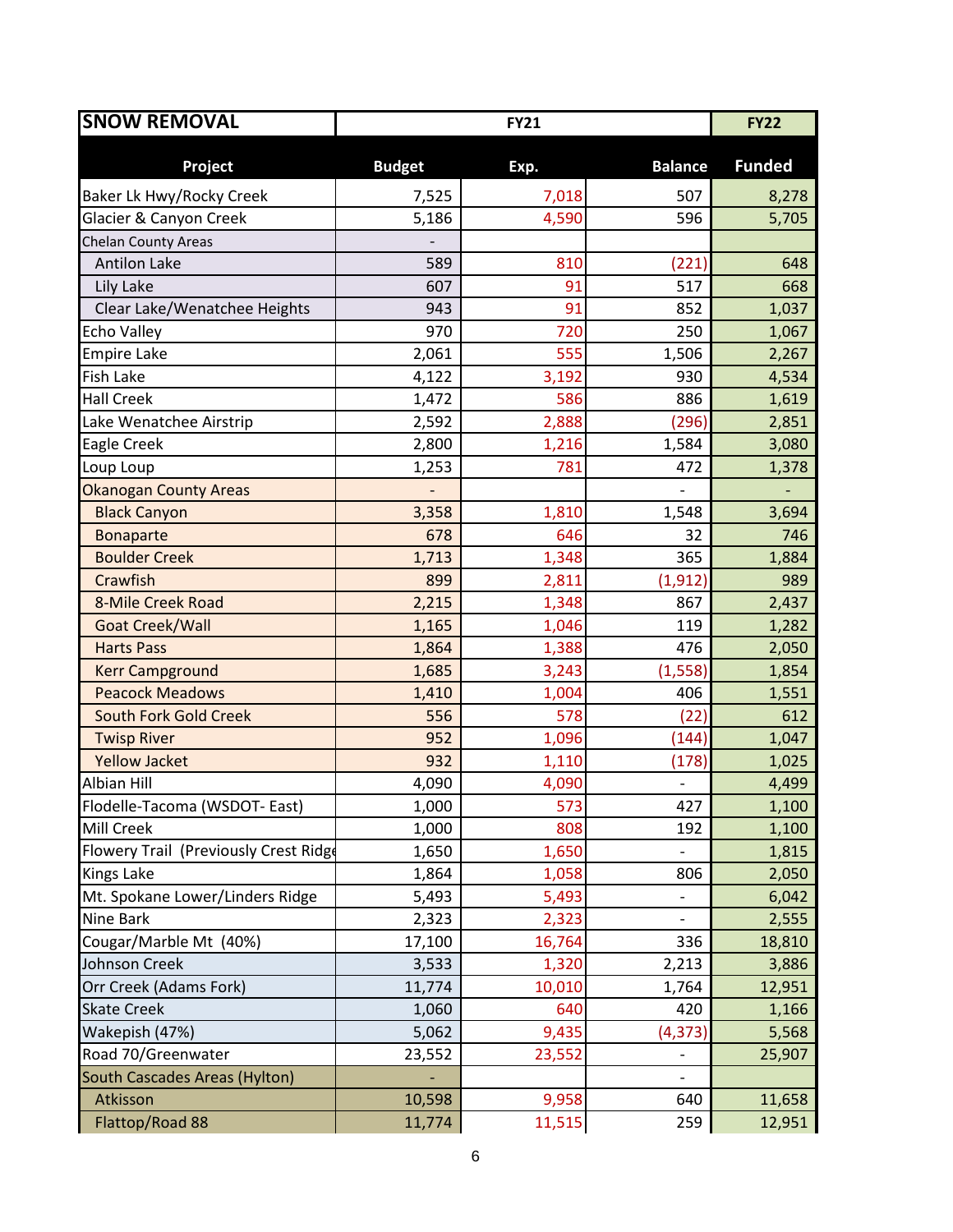| <b>SNOW REMOVAL</b>                   | <b>FY21</b>   |        |                              | <b>FY22</b>   |
|---------------------------------------|---------------|--------|------------------------------|---------------|
| Project                               | <b>Budget</b> | Exp.   | <b>Balance</b>               | <b>Funded</b> |
| Baker Lk Hwy/Rocky Creek              | 7,525         | 7,018  | 507                          | 8,278         |
| Glacier & Canyon Creek                | 5,186         | 4,590  | 596                          | 5,705         |
| Chelan County Areas                   |               |        |                              |               |
| <b>Antilon Lake</b>                   | 589           | 810    | (221)                        | 648           |
| Lily Lake                             | 607           | 91     | 517                          | 668           |
| Clear Lake/Wenatchee Heights          | 943           | 91     | 852                          | 1,037         |
| <b>Echo Valley</b>                    | 970           | 720    | 250                          | 1,067         |
| <b>Empire Lake</b>                    | 2,061         | 555    | 1,506                        | 2,267         |
| <b>Fish Lake</b>                      | 4,122         | 3,192  | 930                          | 4,534         |
| <b>Hall Creek</b>                     | 1,472         | 586    | 886                          | 1,619         |
| Lake Wenatchee Airstrip               | 2,592         | 2,888  | (296)                        | 2,851         |
| Eagle Creek                           | 2,800         | 1,216  | 1,584                        | 3,080         |
| Loup Loup                             | 1,253         | 781    | 472                          | 1,378         |
| <b>Okanogan County Areas</b>          |               |        |                              |               |
| <b>Black Canyon</b>                   | 3,358         | 1,810  | 1,548                        | 3,694         |
| <b>Bonaparte</b>                      | 678           | 646    | 32                           | 746           |
| <b>Boulder Creek</b>                  | 1,713         | 1,348  | 365                          | 1,884         |
| Crawfish                              | 899           | 2,811  | (1, 912)                     | 989           |
| 8-Mile Creek Road                     | 2,215         | 1,348  | 867                          | 2,437         |
| Goat Creek/Wall                       | 1,165         | 1,046  | 119                          | 1,282         |
| <b>Harts Pass</b>                     | 1,864         | 1,388  | 476                          | 2,050         |
| <b>Kerr Campground</b>                | 1,685         | 3,243  | (1, 558)                     | 1,854         |
| <b>Peacock Meadows</b>                | 1,410         | 1,004  | 406                          | 1,551         |
| <b>South Fork Gold Creek</b>          | 556           | 578    | (22)                         | 612           |
| <b>Twisp River</b>                    | 952           | 1,096  | (144)                        | 1,047         |
| <b>Yellow Jacket</b>                  | 932           | 1,110  | (178)                        | 1,025         |
| Albian Hill                           | 4,090         | 4,090  |                              | 4,499         |
| Flodelle-Tacoma (WSDOT- East)         | 1,000         | 573    | 427                          | 1,100         |
| <b>Mill Creek</b>                     | 1,000         | 808    | 192                          | 1,100         |
| Flowery Trail (Previously Crest Ridge | 1,650         | 1,650  | $\frac{1}{2}$                | 1,815         |
| <b>Kings Lake</b>                     | 1,864         | 1,058  | 806                          | 2,050         |
| Mt. Spokane Lower/Linders Ridge       | 5,493         | 5,493  |                              | 6,042         |
| <b>Nine Bark</b>                      | 2,323         | 2,323  |                              | 2,555         |
| Cougar/Marble Mt (40%)                | 17,100        | 16,764 | 336                          | 18,810        |
| Johnson Creek                         | 3,533         | 1,320  | 2,213                        | 3,886         |
| Orr Creek (Adams Fork)                | 11,774        | 10,010 | 1,764                        | 12,951        |
| <b>Skate Creek</b>                    | 1,060         | 640    | 420                          | 1,166         |
| Wakepish (47%)                        | 5,062         | 9,435  | (4, 373)                     | 5,568         |
| Road 70/Greenwater                    | 23,552        | 23,552 | $\qquad \qquad \blacksquare$ | 25,907        |
| South Cascades Areas (Hylton)         |               |        |                              |               |
| Atkisson                              | 10,598        | 9,958  | 640                          | 11,658        |
| Flattop/Road 88                       | 11,774        | 11,515 | 259                          | 12,951        |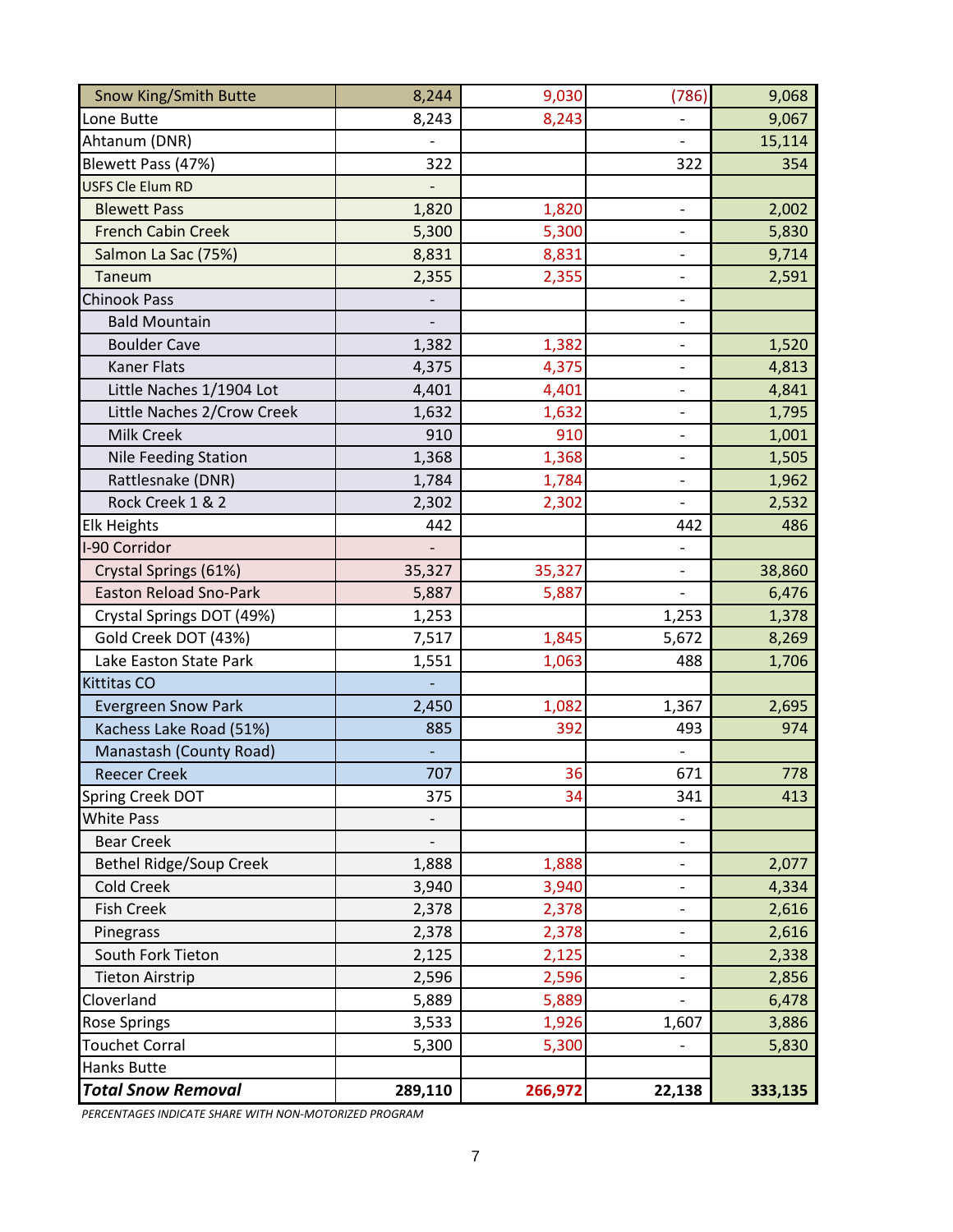| <b>Snow King/Smith Butte</b>   | 8,244   | 9,030   | (786)                        | 9,068   |
|--------------------------------|---------|---------|------------------------------|---------|
| Lone Butte                     | 8,243   | 8,243   |                              | 9,067   |
| Ahtanum (DNR)                  |         |         |                              | 15,114  |
| Blewett Pass (47%)             | 322     |         | 322                          | 354     |
| <b>USFS Cle Elum RD</b>        |         |         |                              |         |
| <b>Blewett Pass</b>            | 1,820   | 1,820   | $\qquad \qquad -$            | 2,002   |
| <b>French Cabin Creek</b>      | 5,300   | 5,300   |                              | 5,830   |
| Salmon La Sac (75%)            | 8,831   | 8,831   | $\qquad \qquad \blacksquare$ | 9,714   |
| Taneum                         | 2,355   | 2,355   | $\frac{1}{2}$                | 2,591   |
| <b>Chinook Pass</b>            |         |         |                              |         |
| <b>Bald Mountain</b>           |         |         | $\overline{\phantom{a}}$     |         |
| <b>Boulder Cave</b>            | 1,382   | 1,382   | $\frac{1}{2}$                | 1,520   |
| <b>Kaner Flats</b>             | 4,375   | 4,375   | $\qquad \qquad \blacksquare$ | 4,813   |
| Little Naches 1/1904 Lot       | 4,401   | 4,401   |                              | 4,841   |
| Little Naches 2/Crow Creek     | 1,632   | 1,632   | $\qquad \qquad -$            | 1,795   |
| <b>Milk Creek</b>              | 910     | 910     | $\frac{1}{2}$                | 1,001   |
| <b>Nile Feeding Station</b>    | 1,368   | 1,368   | $\qquad \qquad \blacksquare$ | 1,505   |
| Rattlesnake (DNR)              | 1,784   | 1,784   | $\overline{\phantom{a}}$     | 1,962   |
| Rock Creek 1 & 2               | 2,302   | 2,302   |                              | 2,532   |
| <b>Elk Heights</b>             | 442     |         | 442                          | 486     |
| I-90 Corridor                  |         |         | $\blacksquare$               |         |
| Crystal Springs (61%)          | 35,327  | 35,327  | $\qquad \qquad -$            | 38,860  |
| <b>Easton Reload Sno-Park</b>  | 5,887   | 5,887   | $\overline{\phantom{a}}$     | 6,476   |
| Crystal Springs DOT (49%)      | 1,253   |         | 1,253                        | 1,378   |
| Gold Creek DOT (43%)           | 7,517   | 1,845   | 5,672                        | 8,269   |
| Lake Easton State Park         | 1,551   | 1,063   | 488                          | 1,706   |
| <b>Kittitas CO</b>             |         |         |                              |         |
| <b>Evergreen Snow Park</b>     | 2,450   | 1,082   | 1,367                        | 2,695   |
| Kachess Lake Road (51%)        | 885     | 392     | 493                          | 974     |
| Manastash (County Road)        |         |         |                              |         |
| <b>Reecer Creek</b>            | 707     | 36      | 671                          | 778     |
| Spring Creek DOT               | 375     | 34      | 341                          | 413     |
| <b>White Pass</b>              |         |         |                              |         |
| <b>Bear Creek</b>              |         |         | $\qquad \qquad \blacksquare$ |         |
| <b>Bethel Ridge/Soup Creek</b> | 1,888   | 1,888   | $\overline{\phantom{0}}$     | 2,077   |
| <b>Cold Creek</b>              | 3,940   | 3,940   |                              | 4,334   |
| <b>Fish Creek</b>              | 2,378   | 2,378   | $\overline{\phantom{a}}$     | 2,616   |
| Pinegrass                      | 2,378   | 2,378   |                              | 2,616   |
| South Fork Tieton              | 2,125   | 2,125   | $\qquad \qquad \blacksquare$ | 2,338   |
| <b>Tieton Airstrip</b>         | 2,596   | 2,596   | $\frac{1}{2}$                | 2,856   |
| Cloverland                     | 5,889   | 5,889   |                              | 6,478   |
| <b>Rose Springs</b>            | 3,533   | 1,926   | 1,607                        | 3,886   |
| <b>Touchet Corral</b>          | 5,300   | 5,300   |                              | 5,830   |
| <b>Hanks Butte</b>             |         |         |                              |         |
| <b>Total Snow Removal</b>      | 289,110 | 266,972 | 22,138                       | 333,135 |

*PERCENTAGES INDICATE SHARE WITH NON-MOTORIZED PROGRAM*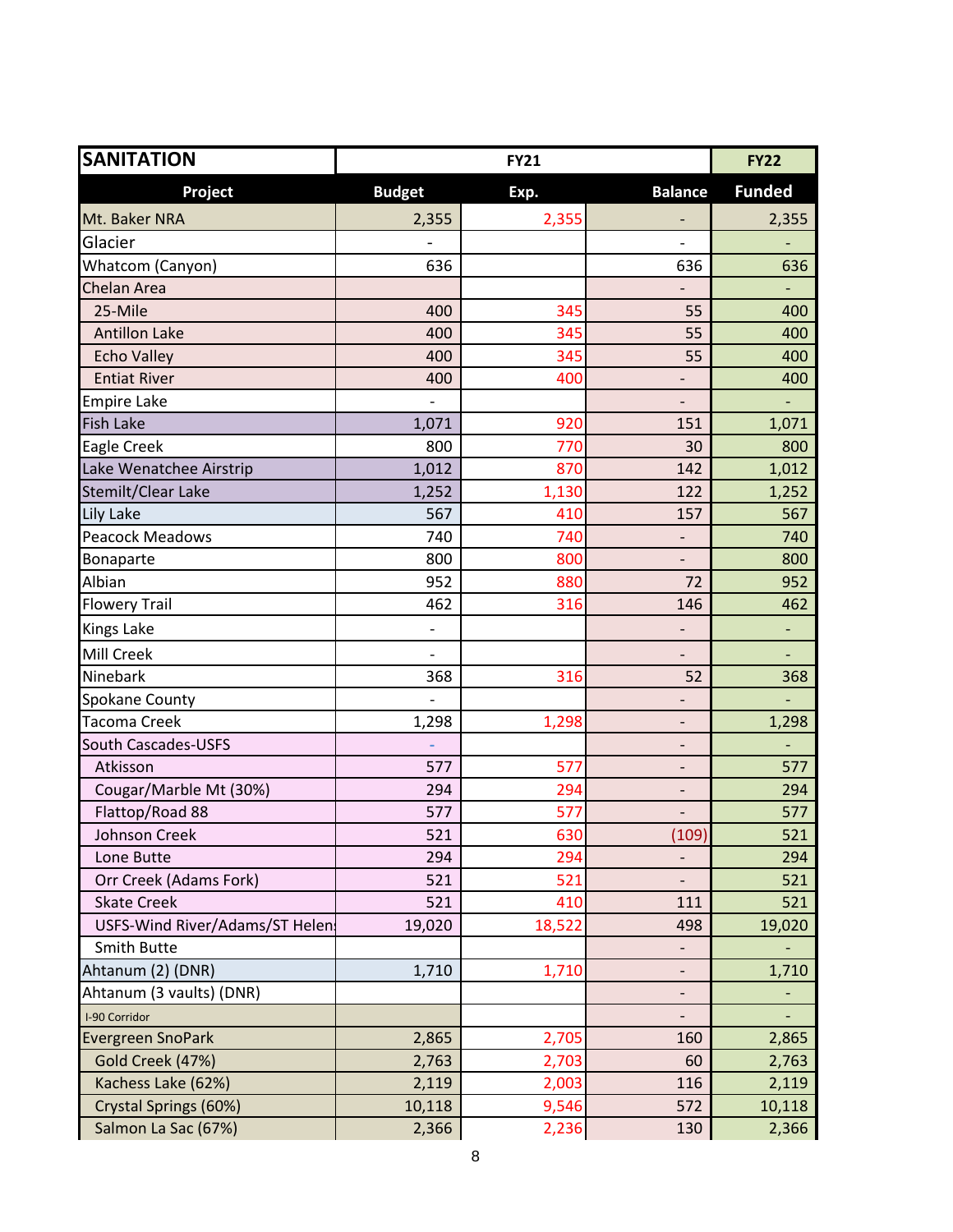| <b>SANITATION</b>              |                          | <b>FY21</b> |                              | <b>FY22</b>   |
|--------------------------------|--------------------------|-------------|------------------------------|---------------|
| Project                        | <b>Budget</b>            | Exp.        | <b>Balance</b>               | <b>Funded</b> |
| Mt. Baker NRA                  | 2,355                    | 2,355       |                              | 2,355         |
| Glacier                        |                          |             | $\qquad \qquad \blacksquare$ |               |
| Whatcom (Canyon)               | 636                      |             | 636                          | 636           |
| Chelan Area                    |                          |             |                              |               |
| 25-Mile                        | 400                      | 345         | 55                           | 400           |
| <b>Antillon Lake</b>           | 400                      | 345         | 55                           | 400           |
| <b>Echo Valley</b>             | 400                      | 345         | 55                           | 400           |
| <b>Entiat River</b>            | 400                      | 400         |                              | 400           |
| <b>Empire Lake</b>             |                          |             | $\qquad \qquad -$            |               |
| <b>Fish Lake</b>               | 1,071                    | 920         | 151                          | 1,071         |
| Eagle Creek                    | 800                      | 770         | 30                           | 800           |
| Lake Wenatchee Airstrip        | 1,012                    | 870         | 142                          | 1,012         |
| Stemilt/Clear Lake             | 1,252                    | 1,130       | 122                          | 1,252         |
| Lily Lake                      | 567                      | 410         | 157                          | 567           |
| <b>Peacock Meadows</b>         | 740                      | 740         | $\overline{\phantom{0}}$     | 740           |
| Bonaparte                      | 800                      | 800         | $\overline{\phantom{m}}$     | 800           |
| Albian                         | 952                      | 880         | 72                           | 952           |
| <b>Flowery Trail</b>           | 462                      | 316         | 146                          | 462           |
| <b>Kings Lake</b>              | $\overline{\phantom{a}}$ |             | $\overline{\phantom{0}}$     | -             |
| <b>Mill Creek</b>              |                          |             |                              |               |
| Ninebark                       | 368                      | 316         | 52                           | 368           |
| Spokane County                 |                          |             | $\overline{\phantom{0}}$     |               |
| <b>Tacoma Creek</b>            | 1,298                    | 1,298       | -                            | 1,298         |
| South Cascades-USFS            |                          |             | $\overline{\phantom{0}}$     |               |
| Atkisson                       | 577                      | 577         | $\overline{\phantom{0}}$     | 577           |
| Cougar/Marble Mt (30%)         | 294                      | 294         | -                            | 294           |
| Flattop/Road 88                | 577                      | 577         |                              | 577           |
| Johnson Creek                  | 521                      | 630         | (109)                        | 521           |
| Lone Butte                     | 294                      | 294         | $\overline{\phantom{0}}$     | 294           |
| Orr Creek (Adams Fork)         | 521                      | 521         |                              | 521           |
| <b>Skate Creek</b>             | 521                      | 410         | 111                          | 521           |
| USFS-Wind River/Adams/ST Helen | 19,020                   | 18,522      | 498                          | 19,020        |
| Smith Butte                    |                          |             | ۰                            |               |
| Ahtanum (2) (DNR)              | 1,710                    | 1,710       | $\overline{\phantom{0}}$     | 1,710         |
| Ahtanum (3 vaults) (DNR)       |                          |             | $\overline{\phantom{a}}$     |               |
| I-90 Corridor                  |                          |             | $\overline{\phantom{0}}$     |               |
| Evergreen SnoPark              | 2,865                    | 2,705       | 160                          | 2,865         |
| Gold Creek (47%)               | 2,763                    | 2,703       | 60                           | 2,763         |
| Kachess Lake (62%)             | 2,119                    | 2,003       | 116                          | 2,119         |
| Crystal Springs (60%)          | 10,118                   | 9,546       | 572                          | 10,118        |
| Salmon La Sac (67%)            | 2,366                    | 2,236       | 130                          | 2,366         |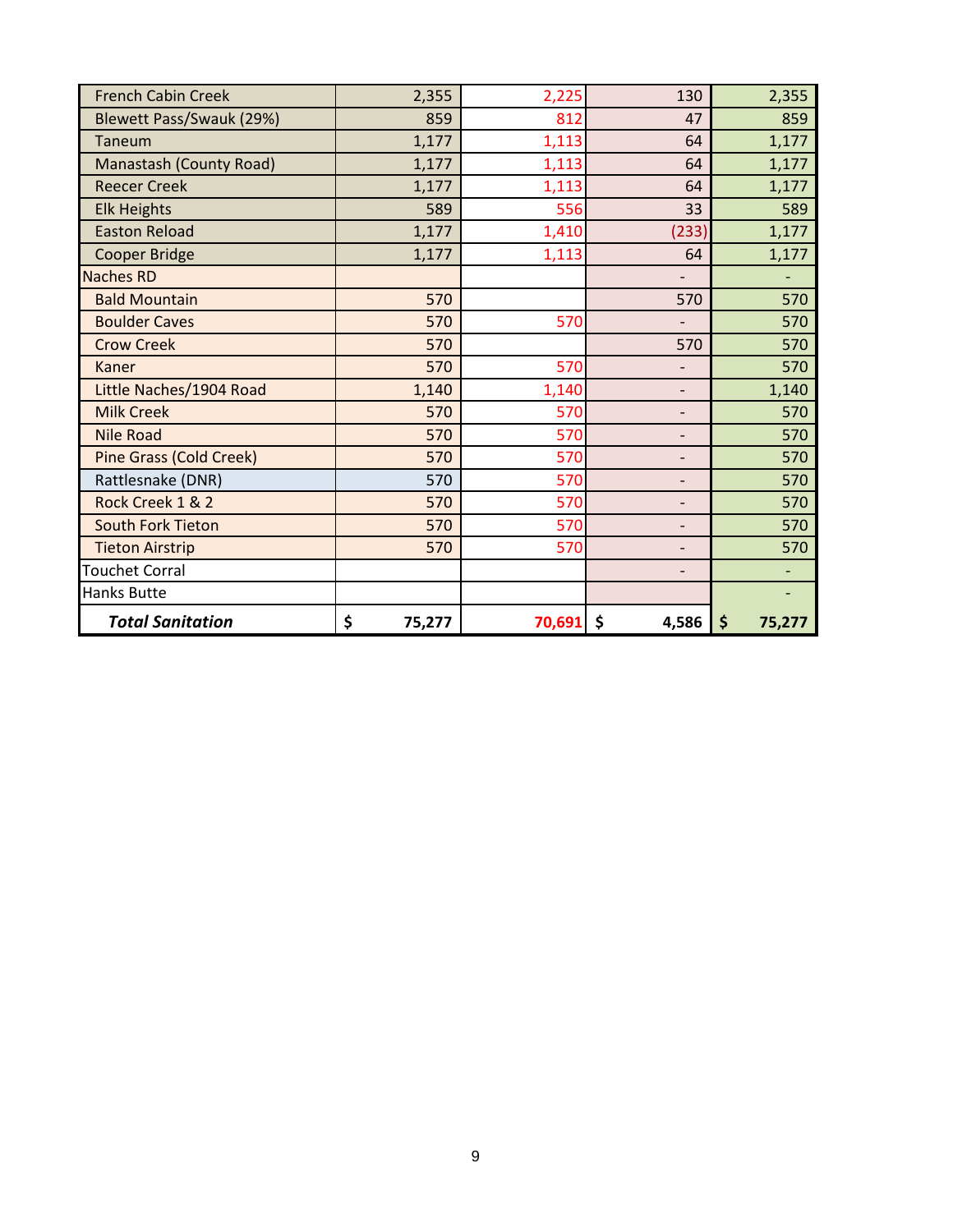| <b>French Cabin Creek</b>      | 2,355        | 2,225       | 130                      | 2,355        |
|--------------------------------|--------------|-------------|--------------------------|--------------|
| Blewett Pass/Swauk (29%)       | 859          | 812         | 47                       | 859          |
| Taneum                         | 1,177        | 1,113       | 64                       | 1,177        |
| Manastash (County Road)        | 1,177        | 1,113       | 64                       | 1,177        |
| <b>Reecer Creek</b>            | 1,177        | 1,113       | 64                       | 1,177        |
| <b>Elk Heights</b>             | 589          | 556         | 33                       | 589          |
| <b>Easton Reload</b>           | 1,177        | 1,410       | (233)                    | 1,177        |
| <b>Cooper Bridge</b>           | 1,177        | 1,113       | 64                       | 1,177        |
| <b>Naches RD</b>               |              |             | $\overline{\phantom{a}}$ |              |
| <b>Bald Mountain</b>           | 570          |             | 570                      | 570          |
| <b>Boulder Caves</b>           | 570          | 570         | $\overline{\phantom{a}}$ | 570          |
| <b>Crow Creek</b>              | 570          |             | 570                      | 570          |
| Kaner                          | 570          | 570         | $\overline{\phantom{a}}$ | 570          |
| Little Naches/1904 Road        | 1,140        | 1,140       | $\overline{\phantom{a}}$ | 1,140        |
| <b>Milk Creek</b>              | 570          | 570         | $\overline{\phantom{a}}$ | 570          |
| <b>Nile Road</b>               | 570          | 570         | $\overline{\phantom{a}}$ | 570          |
| <b>Pine Grass (Cold Creek)</b> | 570          | 570         | $\overline{\phantom{a}}$ | 570          |
| Rattlesnake (DNR)              | 570          | 570         | $\overline{\phantom{a}}$ | 570          |
| Rock Creek 1 & 2               | 570          | 570         | $\overline{\phantom{a}}$ | 570          |
| <b>South Fork Tieton</b>       | 570          | 570         | $\overline{\phantom{a}}$ | 570          |
| <b>Tieton Airstrip</b>         | 570          | 570         | $\overline{\phantom{a}}$ | 570          |
| <b>Touchet Corral</b>          |              |             | $\overline{\phantom{a}}$ |              |
| Hanks Butte                    |              |             |                          |              |
| <b>Total Sanitation</b>        | \$<br>75,277 | $70,691$ \$ | 4,586                    | \$<br>75,277 |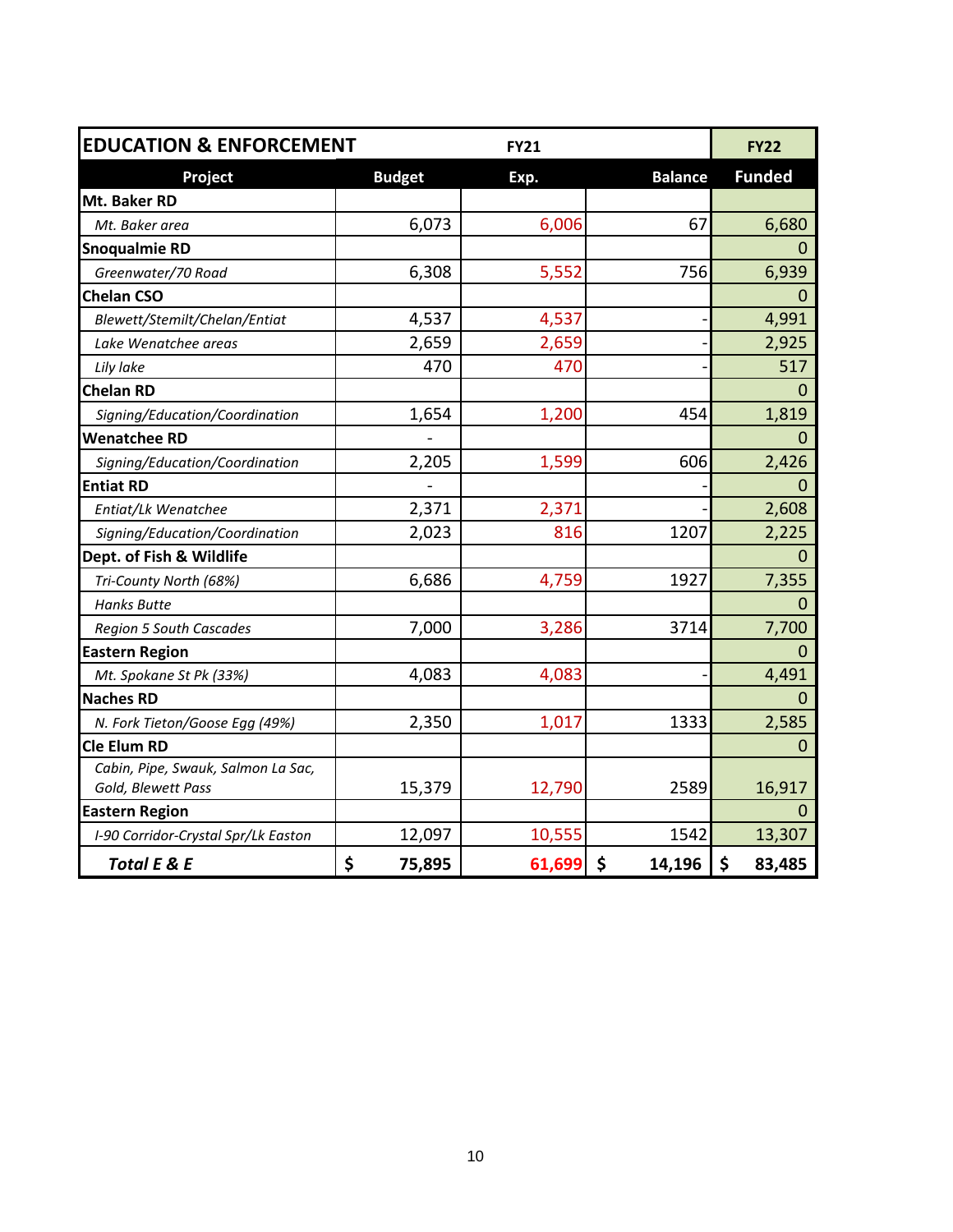| <b>EDUCATION &amp; ENFORCEMENT</b>  |               | <b>FY21</b> |                | <b>FY22</b>   |
|-------------------------------------|---------------|-------------|----------------|---------------|
| Project                             | <b>Budget</b> | Exp.        | <b>Balance</b> | <b>Funded</b> |
| Mt. Baker RD                        |               |             |                |               |
| Mt. Baker area                      | 6,073         | 6,006       | 67             | 6,680         |
| <b>Snoqualmie RD</b>                |               |             |                | 0             |
| Greenwater/70 Road                  | 6,308         | 5,552       | 756            | 6,939         |
| <b>Chelan CSO</b>                   |               |             |                | 0             |
| Blewett/Stemilt/Chelan/Entiat       | 4,537         | 4,537       |                | 4,991         |
| Lake Wenatchee areas                | 2,659         | 2,659       |                | 2,925         |
| Lily lake                           | 470           | 470         |                | 517           |
| <b>Chelan RD</b>                    |               |             |                | 0             |
| Signing/Education/Coordination      | 1,654         | 1,200       | 454            | 1,819         |
| <b>Wenatchee RD</b>                 |               |             |                | 0             |
| Signing/Education/Coordination      | 2,205         | 1,599       | 606            | 2,426         |
| <b>Entiat RD</b>                    |               |             |                | $\Omega$      |
| Entiat/Lk Wenatchee                 | 2,371         | 2,371       |                | 2,608         |
| Signing/Education/Coordination      | 2,023         | 816         | 1207           | 2,225         |
| Dept. of Fish & Wildlife            |               |             |                | $\Omega$      |
| Tri-County North (68%)              | 6,686         | 4,759       | 1927           | 7,355         |
| <b>Hanks Butte</b>                  |               |             |                | 0             |
| <b>Region 5 South Cascades</b>      | 7,000         | 3,286       | 3714           | 7,700         |
| <b>Eastern Region</b>               |               |             |                | $\Omega$      |
| Mt. Spokane St Pk (33%)             | 4,083         | 4,083       |                | 4,491         |
| <b>Naches RD</b>                    |               |             |                | 0             |
| N. Fork Tieton/Goose Egg (49%)      | 2,350         | 1,017       | 1333           | 2,585         |
| <b>Cle Elum RD</b>                  |               |             |                | $\mathbf 0$   |
| Cabin, Pipe, Swauk, Salmon La Sac,  |               |             |                |               |
| Gold, Blewett Pass                  | 15,379        | 12,790      | 2589           | 16,917        |
| <b>Eastern Region</b>               |               |             |                | $\mathbf 0$   |
| I-90 Corridor-Crystal Spr/Lk Easton | 12,097        | 10,555      | 1542           | 13,307        |
| <b>Total E &amp; E</b>              | \$<br>75,895  | 61,699      | \$<br>14,196   | \$<br>83,485  |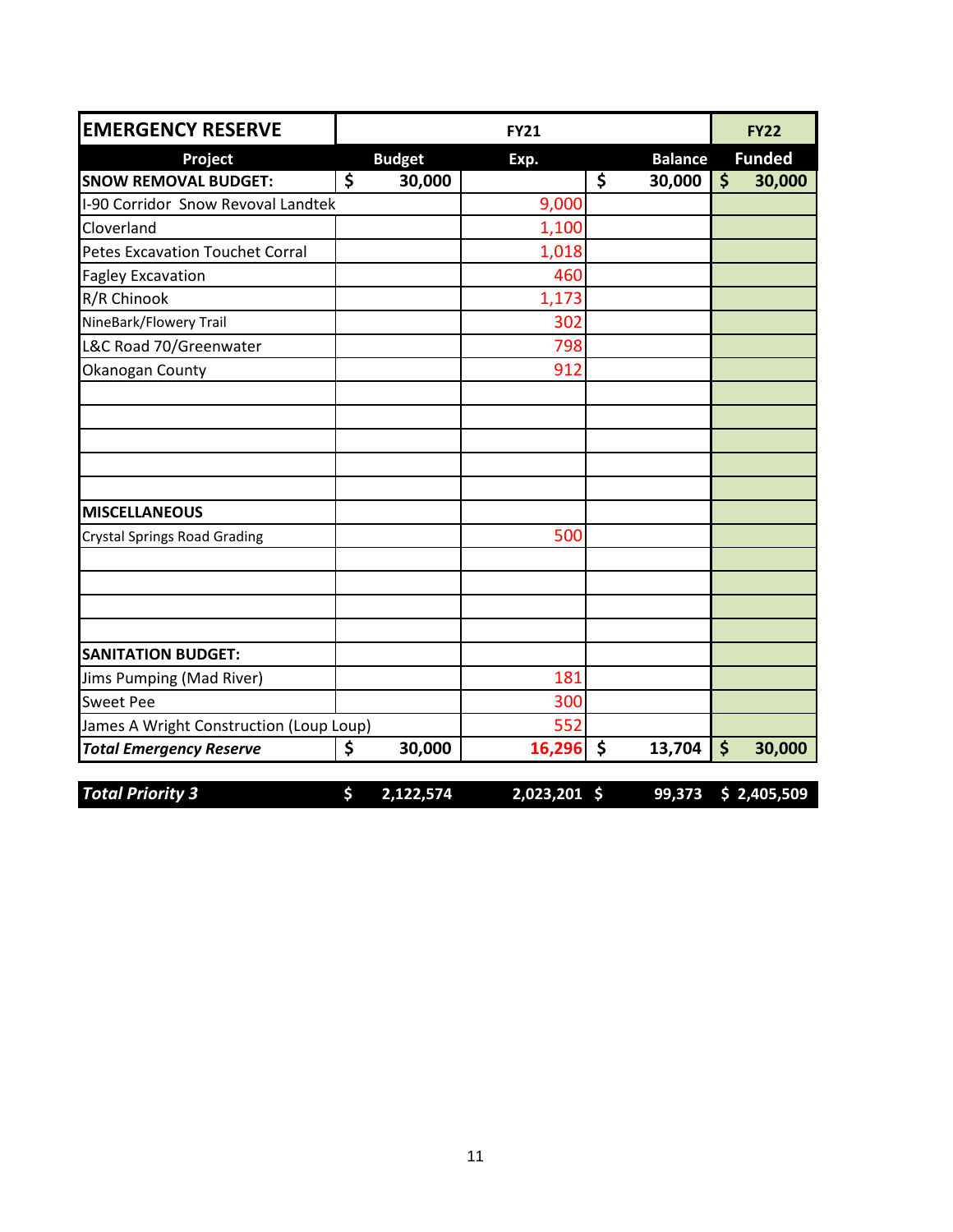| <b>EMERGENCY RESERVE</b>                |                 | <b>FY21</b>  |                |                    | <b>FY22</b>   |
|-----------------------------------------|-----------------|--------------|----------------|--------------------|---------------|
| Project                                 | <b>Budget</b>   | Exp.         | <b>Balance</b> |                    | <b>Funded</b> |
| <b>SNOW REMOVAL BUDGET:</b>             | \$<br>30,000    |              | \$<br>30,000   | $\dot{\mathsf{S}}$ | 30,000        |
| I-90 Corridor Snow Revoval Landtek      |                 | 9,000        |                |                    |               |
| Cloverland                              |                 | 1,100        |                |                    |               |
| <b>Petes Excavation Touchet Corral</b>  |                 | 1,018        |                |                    |               |
| <b>Fagley Excavation</b>                |                 | 460          |                |                    |               |
| R/R Chinook                             |                 | 1,173        |                |                    |               |
| NineBark/Flowery Trail                  |                 | 302          |                |                    |               |
| L&C Road 70/Greenwater                  |                 | 798          |                |                    |               |
| Okanogan County                         |                 | 912          |                |                    |               |
|                                         |                 |              |                |                    |               |
|                                         |                 |              |                |                    |               |
| <b>MISCELLANEOUS</b>                    |                 |              |                |                    |               |
| <b>Crystal Springs Road Grading</b>     |                 | 500          |                |                    |               |
|                                         |                 |              |                |                    |               |
| <b>SANITATION BUDGET:</b>               |                 |              |                |                    |               |
| Jims Pumping (Mad River)                |                 | 181          |                |                    |               |
| <b>Sweet Pee</b>                        |                 | 300          |                |                    |               |
| James A Wright Construction (Loup Loup) |                 | 552          |                |                    |               |
| <b>Total Emergency Reserve</b>          | \$<br>30,000    | $16,296$ \$  | 13,704         | $\dot{\mathsf{S}}$ | 30,000        |
| <b>Total Priority 3</b>                 | \$<br>2,122,574 | 2,023,201 \$ | 99,373         |                    | \$2,405,509   |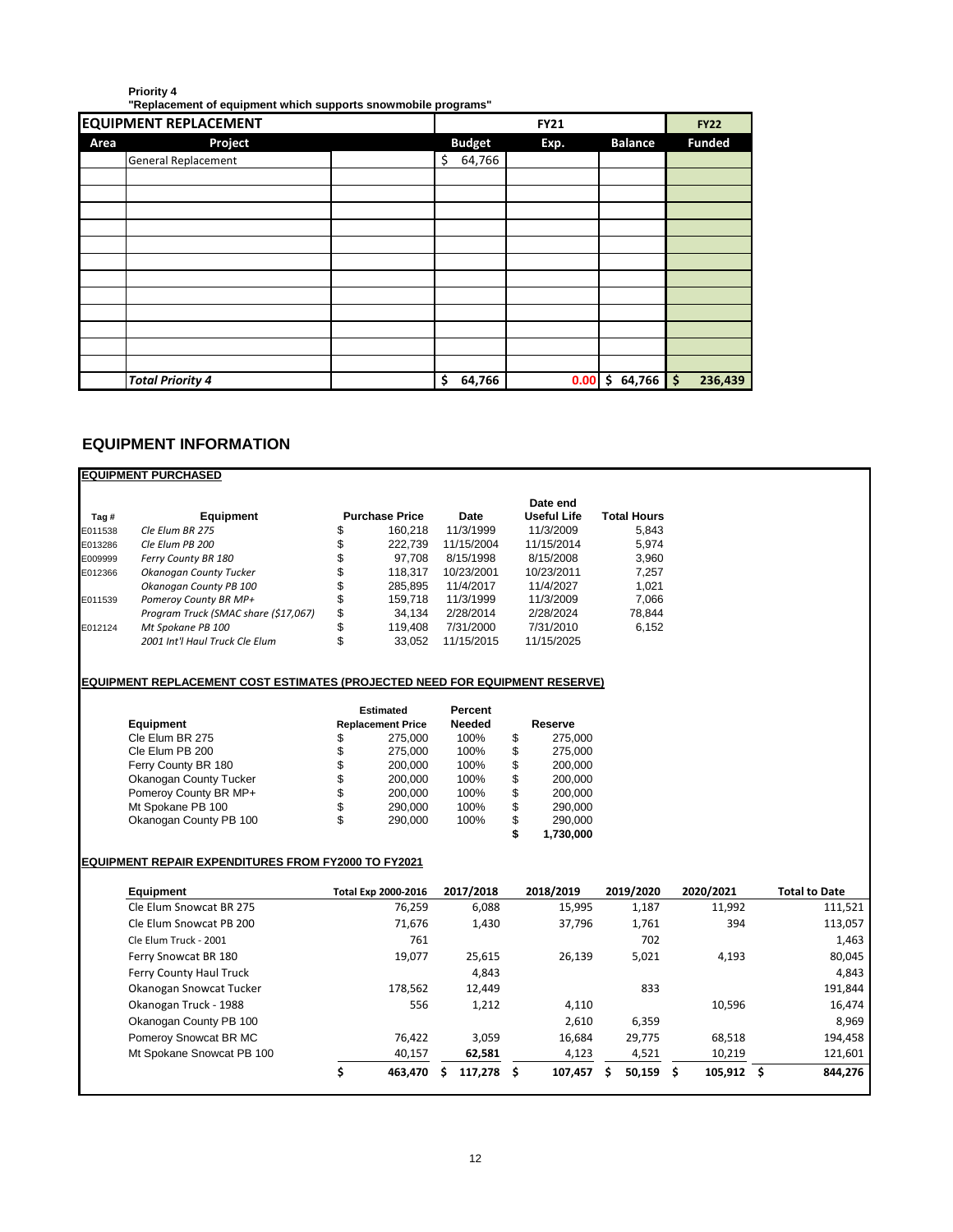#### **Priority 4**

**"Replacement of equipment which supports snowmobile programs"**

| <b>EQUIPMENT REPLACEMENT</b> |               | <b>FY21</b>   |                   | <b>FY22</b> |
|------------------------------|---------------|---------------|-------------------|-------------|
| Project<br>Area              | <b>Budget</b> | <b>Funded</b> |                   |             |
| General Replacement          | 64,766<br>\$  |               |                   |             |
|                              |               |               |                   |             |
|                              |               |               |                   |             |
|                              |               |               |                   |             |
|                              |               |               |                   |             |
|                              |               |               |                   |             |
|                              |               |               |                   |             |
|                              |               |               |                   |             |
|                              |               |               |                   |             |
|                              |               |               |                   |             |
|                              |               |               |                   |             |
|                              |               |               |                   |             |
|                              |               |               |                   |             |
| <b>Total Priority 4</b>      | \$<br>64,766  | 0.00          | $64,766$ \$<br>\$ | 236,439     |

# **EQUIPMENT INFORMATION**

|                    | <b>EQUIPMENT PURCHASED</b>                                                  |          |                                  |     |                          |          |                                 |    |                             |            |                      |
|--------------------|-----------------------------------------------------------------------------|----------|----------------------------------|-----|--------------------------|----------|---------------------------------|----|-----------------------------|------------|----------------------|
|                    |                                                                             |          |                                  |     |                          |          | Date end                        |    |                             |            |                      |
| Tag#               | Equipment                                                                   |          | <b>Purchase Price</b><br>160,218 |     | <b>Date</b><br>11/3/1999 |          | <b>Useful Life</b><br>11/3/2009 |    | <b>Total Hours</b><br>5,843 |            |                      |
| E011538<br>E013286 | Cle Elum BR 275<br>Cle Elum PB 200                                          | \$<br>\$ | 222,739                          |     | 11/15/2004               |          | 11/15/2014                      |    | 5,974                       |            |                      |
| E009999            | Ferry County BR 180                                                         | \$       | 97,708                           |     | 8/15/1998                |          | 8/15/2008                       |    | 3,960                       |            |                      |
| E012366            | Okanogan County Tucker                                                      | \$       | 118,317                          |     | 10/23/2001               |          | 10/23/2011                      |    | 7,257                       |            |                      |
|                    | Okanogan County PB 100                                                      | \$       | 285,895                          |     | 11/4/2017                |          | 11/4/2027                       |    | 1,021                       |            |                      |
| E011539            | Pomeroy County BR MP+                                                       | \$       | 159,718                          |     | 11/3/1999                |          | 11/3/2009                       |    | 7,066                       |            |                      |
|                    | Program Truck (SMAC share (\$17,067)                                        | \$       | 34,134                           |     | 2/28/2014                |          | 2/28/2024                       |    | 78,844                      |            |                      |
| E012124            | Mt Spokane PB 100                                                           | \$       | 119,408                          |     | 7/31/2000                |          | 7/31/2010                       |    | 6,152                       |            |                      |
|                    | 2001 Int'l Haul Truck Cle Elum                                              | \$       | 33,052                           |     | 11/15/2015               |          | 11/15/2025                      |    |                             |            |                      |
|                    |                                                                             |          |                                  |     |                          |          |                                 |    |                             |            |                      |
|                    | EQUIPMENT REPLACEMENT COST ESTIMATES (PROJECTED NEED FOR EQUIPMENT RESERVE) |          |                                  |     |                          |          |                                 |    |                             |            |                      |
|                    |                                                                             |          | <b>Estimated</b>                 |     | <b>Percent</b>           |          |                                 |    |                             |            |                      |
|                    | Equipment                                                                   |          | <b>Replacement Price</b>         |     | <b>Needed</b>            |          | Reserve                         |    |                             |            |                      |
|                    | Cle Elum BR 275                                                             | \$       | 275,000                          |     | 100%                     | \$       | 275,000                         |    |                             |            |                      |
|                    | Cle Elum PB 200                                                             | \$       | 275,000                          |     | 100%                     | \$       | 275,000                         |    |                             |            |                      |
|                    | Ferry County BR 180                                                         | \$       | 200,000                          |     | 100%                     | \$       | 200,000                         |    |                             |            |                      |
|                    | Okanogan County Tucker                                                      | \$       | 200,000                          |     | 100%                     | \$       | 200,000                         |    |                             |            |                      |
|                    | Pomeroy County BR MP+<br>Mt Spokane PB 100                                  | \$       | 200,000                          |     | 100%<br>100%             | \$       | 200,000                         |    |                             |            |                      |
|                    | Okanogan County PB 100                                                      | \$<br>\$ | 290,000<br>290,000               |     | 100%                     | \$<br>\$ | 290,000<br>290,000              |    |                             |            |                      |
|                    |                                                                             |          |                                  |     |                          | \$       | 1,730,000                       |    |                             |            |                      |
|                    | <b>EQUIPMENT REPAIR EXPENDITURES FROM FY2000 TO FY2021</b>                  |          |                                  |     |                          |          |                                 |    |                             |            |                      |
|                    | Equipment                                                                   |          | Total Exp 2000-2016              |     | 2017/2018                |          | 2018/2019                       |    | 2019/2020                   | 2020/2021  | <b>Total to Date</b> |
|                    | Cle Elum Snowcat BR 275                                                     |          |                                  |     |                          |          |                                 |    |                             |            |                      |
|                    |                                                                             |          | 76,259                           |     | 6,088                    |          | 15,995                          |    | 1,187                       | 11,992     | 111,521              |
|                    | Cle Elum Snowcat PB 200                                                     |          | 71,676                           |     | 1,430                    |          | 37,796                          |    | 1,761                       | 394        | 113,057              |
|                    | Cle Elum Truck - 2001                                                       |          | 761                              |     |                          |          |                                 |    | 702                         |            | 1,463                |
|                    | Ferry Snowcat BR 180                                                        |          | 19,077                           |     | 25,615                   |          | 26,139                          |    | 5,021                       | 4,193      | 80,045               |
|                    | Ferry County Haul Truck                                                     |          |                                  |     | 4,843                    |          |                                 |    |                             |            | 4,843                |
|                    | Okanogan Snowcat Tucker                                                     |          | 178,562                          |     | 12,449                   |          |                                 |    | 833                         |            | 191,844              |
|                    | Okanogan Truck - 1988                                                       |          | 556                              |     | 1,212                    |          | 4,110                           |    |                             | 10,596     | 16,474               |
|                    | Okanogan County PB 100                                                      |          |                                  |     |                          |          | 2,610                           |    | 6,359                       |            | 8,969                |
|                    | Pomeroy Snowcat BR MC                                                       |          | 76,422                           |     | 3,059                    |          | 16,684                          |    | 29,775                      | 68,518     | 194,458              |
|                    | Mt Spokane Snowcat PB 100                                                   |          | 40,157                           |     | 62,581                   |          | 4,123                           |    | 4,521                       | 10,219     | 121,601              |
|                    |                                                                             | \$       | 463,470                          | \$. | $117,278$ \$             |          | 107,457                         | Ŝ. | $50,159$ \$                 | 105,912 \$ | 844,276              |
|                    |                                                                             |          |                                  |     |                          |          |                                 |    |                             |            |                      |